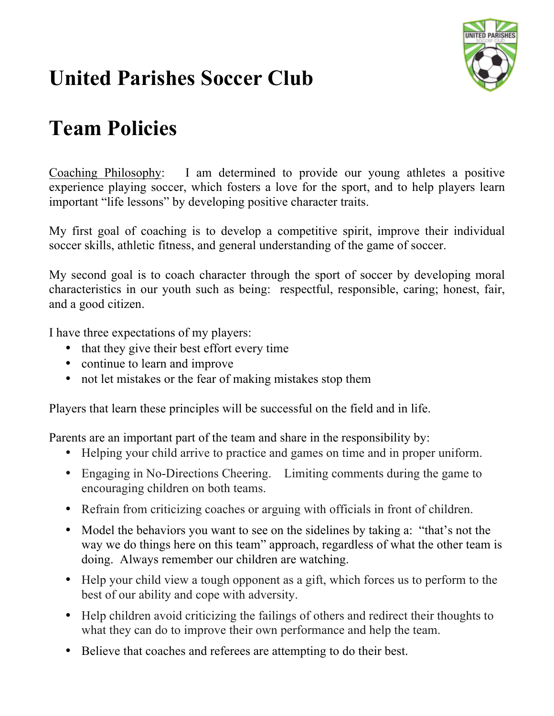

### **Team Policies**

Coaching Philosophy: I am determined to provide our young athletes a positive experience playing soccer, which fosters a love for the sport, and to help players learn important "life lessons" by developing positive character traits.

My first goal of coaching is to develop a competitive spirit, improve their individual soccer skills, athletic fitness, and general understanding of the game of soccer.

My second goal is to coach character through the sport of soccer by developing moral characteristics in our youth such as being: respectful, responsible, caring; honest, fair, and a good citizen.

I have three expectations of my players:

- that they give their best effort every time
- continue to learn and improve
- not let mistakes or the fear of making mistakes stop them

Players that learn these principles will be successful on the field and in life.

Parents are an important part of the team and share in the responsibility by:

- Helping your child arrive to practice and games on time and in proper uniform.
- Engaging in No-Directions Cheering. Limiting comments during the game to encouraging children on both teams.
- Refrain from criticizing coaches or arguing with officials in front of children.
- Model the behaviors you want to see on the sidelines by taking a: "that's not the way we do things here on this team" approach, regardless of what the other team is doing. Always remember our children are watching.
- Help your child view a tough opponent as a gift, which forces us to perform to the best of our ability and cope with adversity.
- Help children avoid criticizing the failings of others and redirect their thoughts to what they can do to improve their own performance and help the team.
- Believe that coaches and referees are attempting to do their best.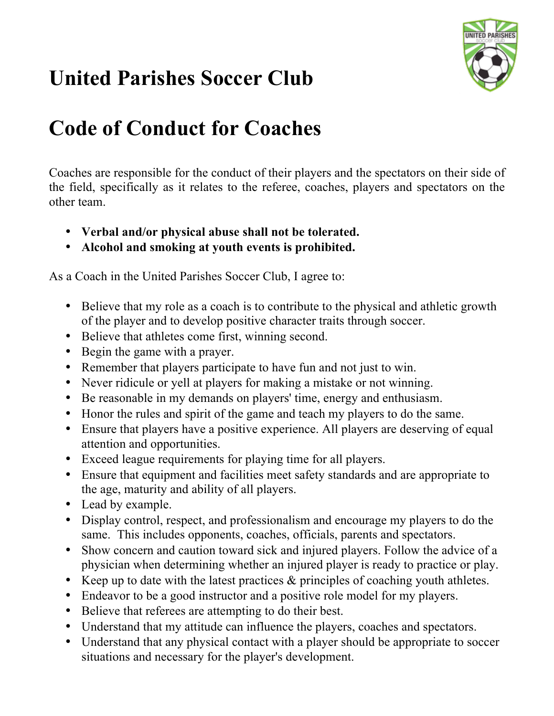

## **Code of Conduct for Coaches**

Coaches are responsible for the conduct of their players and the spectators on their side of the field, specifically as it relates to the referee, coaches, players and spectators on the other team.

- **Verbal and/or physical abuse shall not be tolerated.**
- **Alcohol and smoking at youth events is prohibited.**

As a Coach in the United Parishes Soccer Club, I agree to:

- Believe that my role as a coach is to contribute to the physical and athletic growth of the player and to develop positive character traits through soccer.
- Believe that athletes come first, winning second.
- Begin the game with a prayer.
- Remember that players participate to have fun and not just to win.
- Never ridicule or yell at players for making a mistake or not winning.
- Be reasonable in my demands on players' time, energy and enthusiasm.
- Honor the rules and spirit of the game and teach my players to do the same.
- Ensure that players have a positive experience. All players are deserving of equal attention and opportunities.
- Exceed league requirements for playing time for all players.
- Ensure that equipment and facilities meet safety standards and are appropriate to the age, maturity and ability of all players.
- Lead by example.
- Display control, respect, and professionalism and encourage my players to do the same. This includes opponents, coaches, officials, parents and spectators.
- Show concern and caution toward sick and injured players. Follow the advice of a physician when determining whether an injured player is ready to practice or play.
- Keep up to date with the latest practices & principles of coaching youth athletes.
- Endeavor to be a good instructor and a positive role model for my players.
- Believe that referees are attempting to do their best.
- Understand that my attitude can influence the players, coaches and spectators.
- Understand that any physical contact with a player should be appropriate to soccer situations and necessary for the player's development.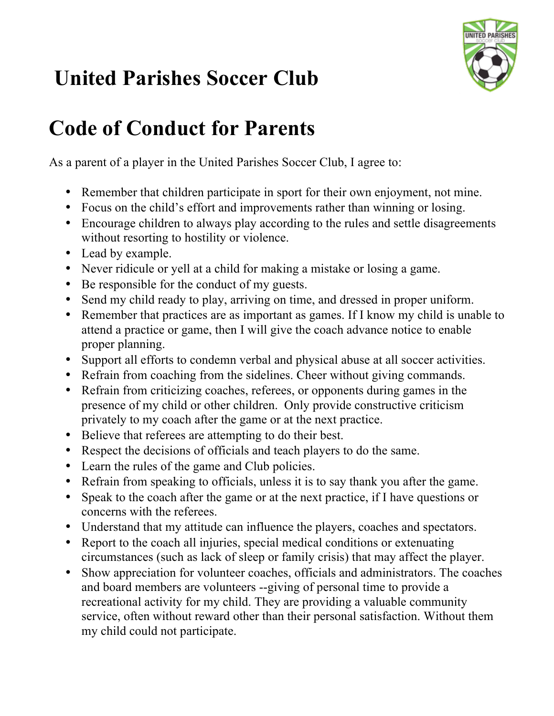

### **Code of Conduct for Parents**

As a parent of a player in the United Parishes Soccer Club, I agree to:

- Remember that children participate in sport for their own enjoyment, not mine.
- Focus on the child's effort and improvements rather than winning or losing.
- Encourage children to always play according to the rules and settle disagreements without resorting to hostility or violence.
- Lead by example.
- Never ridicule or yell at a child for making a mistake or losing a game.
- Be responsible for the conduct of my guests.
- Send my child ready to play, arriving on time, and dressed in proper uniform.
- Remember that practices are as important as games. If I know my child is unable to attend a practice or game, then I will give the coach advance notice to enable proper planning.
- Support all efforts to condemn verbal and physical abuse at all soccer activities.
- Refrain from coaching from the sidelines. Cheer without giving commands.
- Refrain from criticizing coaches, referees, or opponents during games in the presence of my child or other children. Only provide constructive criticism privately to my coach after the game or at the next practice.
- Believe that referees are attempting to do their best.
- Respect the decisions of officials and teach players to do the same.
- Learn the rules of the game and Club policies.
- Refrain from speaking to officials, unless it is to say thank you after the game.
- Speak to the coach after the game or at the next practice, if I have questions or concerns with the referees.
- Understand that my attitude can influence the players, coaches and spectators.
- Report to the coach all injuries, special medical conditions or extenuating circumstances (such as lack of sleep or family crisis) that may affect the player.
- Show appreciation for volunteer coaches, officials and administrators. The coaches and board members are volunteers --giving of personal time to provide a recreational activity for my child. They are providing a valuable community service, often without reward other than their personal satisfaction. Without them my child could not participate.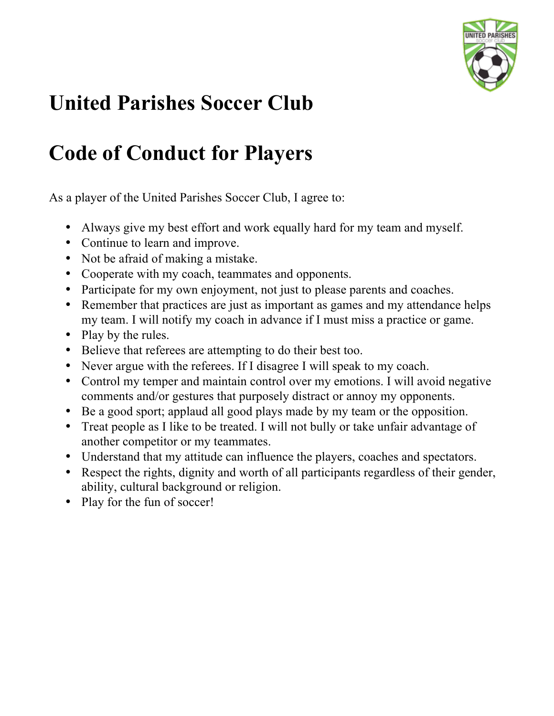

### **Code of Conduct for Players**

As a player of the United Parishes Soccer Club, I agree to:

- Always give my best effort and work equally hard for my team and myself.
- Continue to learn and improve.
- Not be afraid of making a mistake.
- Cooperate with my coach, teammates and opponents.
- Participate for my own enjoyment, not just to please parents and coaches.
- Remember that practices are just as important as games and my attendance helps my team. I will notify my coach in advance if I must miss a practice or game.
- Play by the rules.
- Believe that referees are attempting to do their best too.
- Never argue with the referees. If I disagree I will speak to my coach.
- Control my temper and maintain control over my emotions. I will avoid negative comments and/or gestures that purposely distract or annoy my opponents.
- Be a good sport; applaud all good plays made by my team or the opposition.
- Treat people as I like to be treated. I will not bully or take unfair advantage of another competitor or my teammates.
- Understand that my attitude can influence the players, coaches and spectators.
- Respect the rights, dignity and worth of all participants regardless of their gender, ability, cultural background or religion.
- Play for the fun of soccer!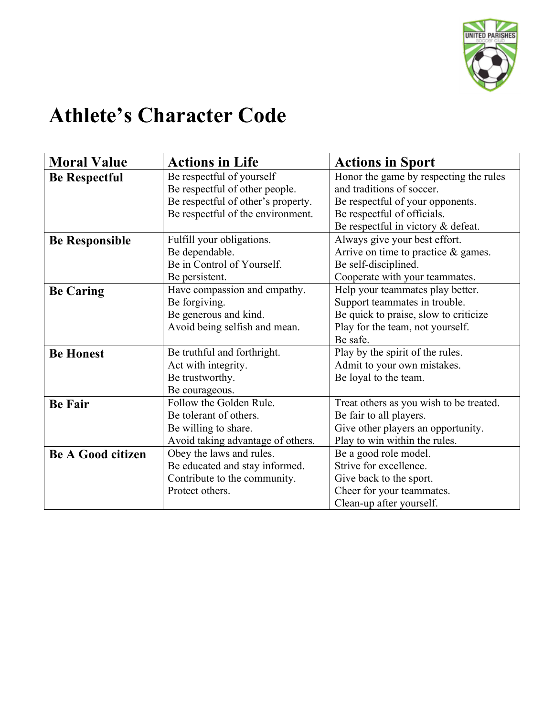

### **Athlete's Character Code**

| <b>Moral Value</b>       | <b>Actions in Life</b>             | <b>Actions in Sport</b>                 |  |
|--------------------------|------------------------------------|-----------------------------------------|--|
| <b>Be Respectful</b>     | Be respectful of yourself          | Honor the game by respecting the rules  |  |
|                          | Be respectful of other people.     | and traditions of soccer.               |  |
|                          | Be respectful of other's property. | Be respectful of your opponents.        |  |
|                          | Be respectful of the environment.  | Be respectful of officials.             |  |
|                          |                                    | Be respectful in victory & defeat.      |  |
| <b>Be Responsible</b>    | Fulfill your obligations.          | Always give your best effort.           |  |
|                          | Be dependable.                     | Arrive on time to practice $\&$ games.  |  |
|                          | Be in Control of Yourself.         | Be self-disciplined.                    |  |
|                          | Be persistent.                     | Cooperate with your teammates.          |  |
| <b>Be Caring</b>         | Have compassion and empathy.       | Help your teammates play better.        |  |
|                          | Be forgiving.                      | Support teammates in trouble.           |  |
|                          | Be generous and kind.              | Be quick to praise, slow to criticize   |  |
|                          | Avoid being selfish and mean.      | Play for the team, not yourself.        |  |
|                          |                                    | Be safe.                                |  |
| <b>Be Honest</b>         | Be truthful and forthright.        | Play by the spirit of the rules.        |  |
|                          | Act with integrity.                | Admit to your own mistakes.             |  |
|                          | Be trustworthy.                    | Be loyal to the team.                   |  |
|                          | Be courageous.                     |                                         |  |
| <b>Be Fair</b>           | Follow the Golden Rule.            | Treat others as you wish to be treated. |  |
|                          | Be tolerant of others.             | Be fair to all players.                 |  |
|                          | Be willing to share.               | Give other players an opportunity.      |  |
|                          | Avoid taking advantage of others.  | Play to win within the rules.           |  |
| <b>Be A Good citizen</b> | Obey the laws and rules.           | Be a good role model.                   |  |
|                          | Be educated and stay informed.     | Strive for excellence.                  |  |
|                          | Contribute to the community.       | Give back to the sport.                 |  |
|                          | Protect others.                    | Cheer for your teammates.               |  |
|                          |                                    | Clean-up after yourself.                |  |